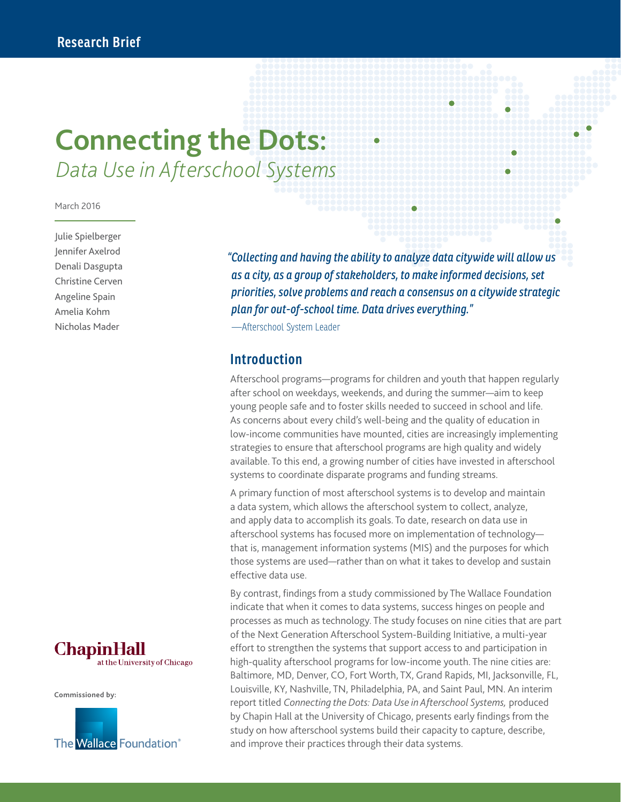# **Connecting the Dots:**  *Data Use in Afterschool Systems*

#### March 2016

Julie Spielberger Jennifer Axelrod Denali Dasgupta Christine Cerven Angeline Spain Amelia Kohm Nicholas Mader



**Commissioned by:**



*"Collecting and having the ability to analyze data citywide will allow us as a city, as a group of stakeholders, to make informed decisions, set priorities, solve problems and reach a consensus on a citywide strategic plan for out-of-school time. Data drives everything."* 

—Afterschool System Leader

#### **Introduction**

Afterschool programs—programs for children and youth that happen regularly after school on weekdays, weekends, and during the summer—aim to keep young people safe and to foster skills needed to succeed in school and life. As concerns about every child's well-being and the quality of education in low-income communities have mounted, cities are increasingly implementing strategies to ensure that afterschool programs are high quality and widely available. To this end, a growing number of cities have invested in afterschool systems to coordinate disparate programs and funding streams.

A primary function of most afterschool systems is to develop and maintain a data system, which allows the afterschool system to collect, analyze, and apply data to accomplish its goals. To date, research on data use in afterschool systems has focused more on implementation of technology that is, management information systems (MIS) and the purposes for which those systems are used—rather than on what it takes to develop and sustain effective data use.

By contrast, findings from a study commissioned by The Wallace Foundation indicate that when it comes to data systems, success hinges on people and processes as much as technology. The study focuses on nine cities that are part of the Next Generation Afterschool System-Building Initiative, a multi-year effort to strengthen the systems that support access to and participation in high-quality afterschool programs for low-income youth. The nine cities are: Baltimore, MD, Denver, CO, Fort Worth, TX, Grand Rapids, MI, Jacksonville, FL, Louisville, KY, Nashville, TN, Philadelphia, PA, and Saint Paul, MN. An interim report titled *Connecting the Dots: Data Use in Afterschool Systems,* produced by Chapin Hall at the University of Chicago, presents early findings from the study on how afterschool systems build their capacity to capture, describe, and improve their practices through their data systems.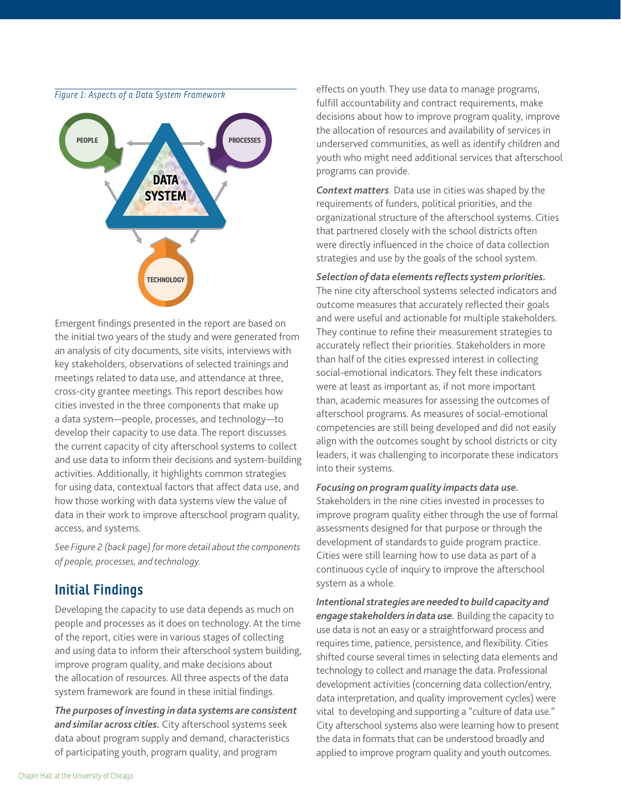

Emergent findings presented in the report are based on the initial two years of the study and were generated from an analysis of city documents, site visits, interviews with key stakeholders, observations of selected trainings and meetings related to data use, and attendance at three, cross-city grantee meetings. This report describes how cities invested in the three components that make up a data system—people, processes, and technology—to develop their capacity to use data. The report discusses the current capacity of city afterschool systems to collect and use data to inform their decisions and system-building activities. Additionally, it highlights common strategies for using data, contextual factors that affect data use, and how those working with data systems view the value of data in their work to improve afterschool program quality, access, and systems.

*See Figure 2 (back page) for more detail about the components of people, processes, and technology.*

#### **Initial Findings**

Developing the capacity to use data depends as much on people and processes as it does on technology. At the time of the report, cities were in various stages of collecting and using data to inform their afterschool system building, improve program quality, and make decisions about the allocation of resources. All three aspects of the data system framework are found in these initial findings.

*The purposes of investing in data systems are consistent and similar across cities.* City afterschool systems seek data about program supply and demand, characteristics of participating youth, program quality, and program

effects on youth. They use data to manage programs, fulfill accountability and contract requirements, make decisions about how to improve program quality, improve the allocation of resources and availability of services in underserved communities, as well as identify children and youth who might need additional services that afterschool programs can provide.

*Context matters*. Data use in cities was shaped by the requirements of funders, political priorities, and the organizational structure of the afterschool systems. Cities that partnered closely with the school districts often were directly influenced in the choice of data collection strategies and use by the goals of the school system.

*Selection of data elements reflects system priorities.* The nine city afterschool systems selected indicators and outcome measures that accurately reflected their goals and were useful and actionable for multiple stakeholders. They continue to refine their measurement strategies to accurately reflect their priorities. Stakeholders in more than half of the cities expressed interest in collecting social-emotional indicators. They felt these indicators were at least as important as, if not more important than, academic measures for assessing the outcomes of afterschool programs. As measures of social-emotional competencies are still being developed and did not easily align with the outcomes sought by school districts or city leaders, it was challenging to incorporate these indicators into their systems.

#### *Focusing on program quality impacts data use.*

Stakeholders in the nine cities invested in processes to improve program quality either through the use of formal assessments designed for that purpose or through the development of standards to guide program practice. Cities were still learning how to use data as part of a continuous cycle of inquiry to improve the afterschool system as a whole.

*Intentional strategies are needed to build capacity and engage stakeholders in data use.* Building the capacity to use data is not an easy or a straightforward process and requires time, patience, persistence, and flexibility. Cities shifted course several times in selecting data elements and technology to collect and manage the data. Professional development activities (concerning data collection/entry, data interpretation, and quality improvement cycles) were vital to developing and supporting a "culture of data use." City afterschool systems also were learning how to present the data in formats that can be understood broadly and applied to improve program quality and youth outcomes.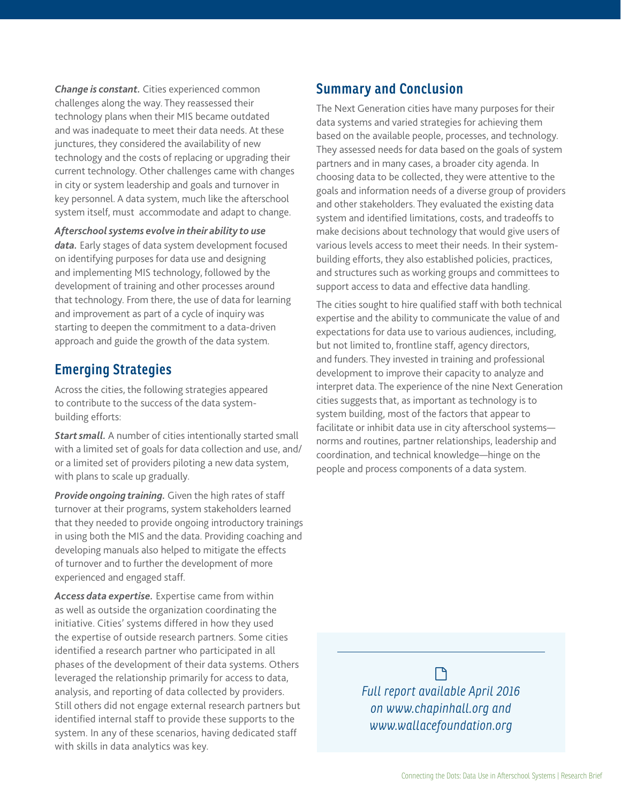*Change is constant.* Cities experienced common challenges along the way. They reassessed their technology plans when their MIS became outdated and was inadequate to meet their data needs. At these junctures, they considered the availability of new technology and the costs of replacing or upgrading their current technology. Other challenges came with changes in city or system leadership and goals and turnover in key personnel. A data system, much like the afterschool system itself, must accommodate and adapt to change.

#### *Afterschool systems evolve in their ability to use*

*data.* Early stages of data system development focused on identifying purposes for data use and designing and implementing MIS technology, followed by the development of training and other processes around that technology. From there, the use of data for learning and improvement as part of a cycle of inquiry was starting to deepen the commitment to a data-driven approach and guide the growth of the data system.

#### **Emerging Strategies**

Across the cities, the following strategies appeared to contribute to the success of the data systembuilding efforts:

*Start small.* A number of cities intentionally started small with a limited set of goals for data collection and use, and/ or a limited set of providers piloting a new data system, with plans to scale up gradually.

*Provide ongoing training.* Given the high rates of staff turnover at their programs, system stakeholders learned that they needed to provide ongoing introductory trainings in using both the MIS and the data. Providing coaching and developing manuals also helped to mitigate the effects of turnover and to further the development of more experienced and engaged staff.

*Access data expertise.* Expertise came from within as well as outside the organization coordinating the initiative. Cities' systems differed in how they used the expertise of outside research partners. Some cities identified a research partner who participated in all phases of the development of their data systems. Others leveraged the relationship primarily for access to data, analysis, and reporting of data collected by providers. Still others did not engage external research partners but identified internal staff to provide these supports to the system. In any of these scenarios, having dedicated staff with skills in data analytics was key.

#### **Summary and Conclusion**

The Next Generation cities have many purposes for their data systems and varied strategies for achieving them based on the available people, processes, and technology. They assessed needs for data based on the goals of system partners and in many cases, a broader city agenda. In choosing data to be collected, they were attentive to the goals and information needs of a diverse group of providers and other stakeholders. They evaluated the existing data system and identified limitations, costs, and tradeoffs to make decisions about technology that would give users of various levels access to meet their needs. In their systembuilding efforts, they also established policies, practices, and structures such as working groups and committees to support access to data and effective data handling.

The cities sought to hire qualified staff with both technical expertise and the ability to communicate the value of and expectations for data use to various audiences, including, but not limited to, frontline staff, agency directors, and funders. They invested in training and professional development to improve their capacity to analyze and interpret data. The experience of the nine Next Generation cities suggests that, as important as technology is to system building, most of the factors that appear to facilitate or inhibit data use in city afterschool systems norms and routines, partner relationships, leadership and coordination, and technical knowledge—hinge on the people and process components of a data system.

> $\Box$ *Full report available April 2016 on www.chapinhall.org and www.wallacefoundation.org*